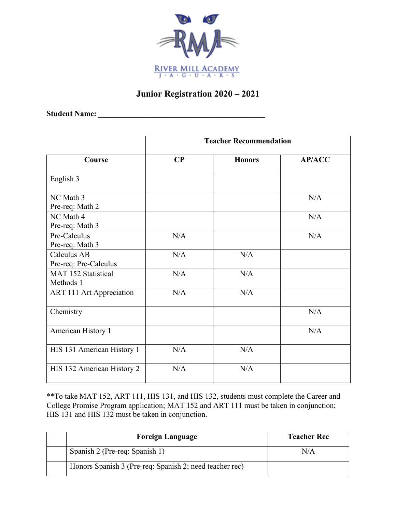

## **Junior Registration 2020 – 2021**

**Student Name: \_\_\_\_\_\_\_\_\_\_\_\_\_\_\_\_\_\_\_\_\_\_\_\_\_\_\_\_\_\_\_\_\_\_\_\_\_\_\_\_\_\_\_**

|                                      | <b>Teacher Recommendation</b> |               |               |
|--------------------------------------|-------------------------------|---------------|---------------|
| Course                               | $\bf CP$                      | <b>Honors</b> | <b>AP/ACC</b> |
| English 3                            |                               |               |               |
| NC Math 3<br>Pre-req: Math 2         |                               |               | N/A           |
| NC Math 4<br>Pre-req: Math 3         |                               |               | N/A           |
| Pre-Calculus<br>Pre-req: Math 3      | N/A                           |               | N/A           |
| Calculus AB<br>Pre-req: Pre-Calculus | N/A                           | N/A           |               |
| MAT 152 Statistical<br>Methods 1     | N/A                           | N/A           |               |
| ART 111 Art Appreciation             | N/A                           | N/A           |               |
| Chemistry                            |                               |               | N/A           |
| American History 1                   |                               |               | N/A           |
| HIS 131 American History 1           | N/A                           | N/A           |               |
| HIS 132 American History 2           | N/A                           | N/A           |               |

\*\*To take MAT 152, ART 111, HIS 131, and HIS 132, students must complete the Career and College Promise Program application; MAT 152 and ART 111 must be taken in conjunction; HIS 131 and HIS 132 must be taken in conjunction.

| <b>Foreign Language</b>                                 | <b>Teacher Rec</b> |
|---------------------------------------------------------|--------------------|
| Spanish 2 (Pre-req: Spanish 1)                          | N/A                |
| Honors Spanish 3 (Pre-req: Spanish 2; need teacher rec) |                    |